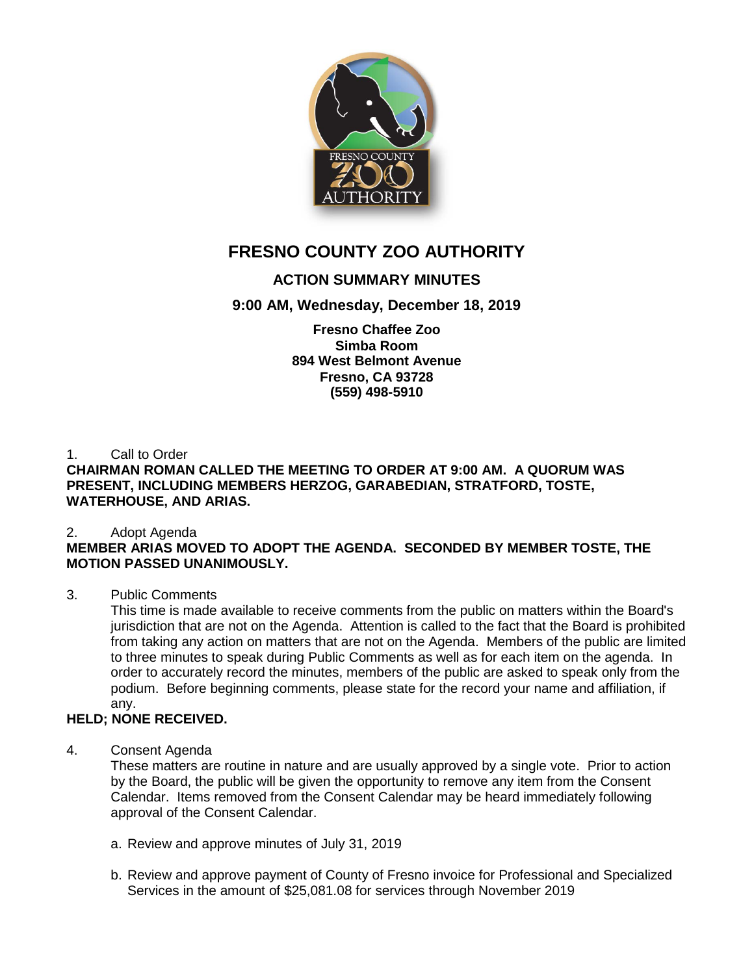

# **FRESNO COUNTY ZOO AUTHORITY**

# **ACTION SUMMARY MINUTES**

## **9:00 AM, Wednesday, December 18, 2019**

**Fresno Chaffee Zoo Simba Room 894 West Belmont Avenue Fresno, CA 93728 (559) 498-5910**

1. Call to Order

### **CHAIRMAN ROMAN CALLED THE MEETING TO ORDER AT 9:00 AM. A QUORUM WAS PRESENT, INCLUDING MEMBERS HERZOG, GARABEDIAN, STRATFORD, TOSTE, WATERHOUSE, AND ARIAS.**

### 2. Adopt Agenda

### **MEMBER ARIAS MOVED TO ADOPT THE AGENDA. SECONDED BY MEMBER TOSTE, THE MOTION PASSED UNANIMOUSLY.**

### 3. Public Comments

This time is made available to receive comments from the public on matters within the Board's jurisdiction that are not on the Agenda. Attention is called to the fact that the Board is prohibited from taking any action on matters that are not on the Agenda. Members of the public are limited to three minutes to speak during Public Comments as well as for each item on the agenda. In order to accurately record the minutes, members of the public are asked to speak only from the podium. Before beginning comments, please state for the record your name and affiliation, if any.

### **HELD; NONE RECEIVED.**

### 4. Consent Agenda

These matters are routine in nature and are usually approved by a single vote. Prior to action by the Board, the public will be given the opportunity to remove any item from the Consent Calendar. Items removed from the Consent Calendar may be heard immediately following approval of the Consent Calendar.

- a. Review and approve minutes of July 31, 2019
- b. Review and approve payment of County of Fresno invoice for Professional and Specialized Services in the amount of \$25,081.08 for services through November 2019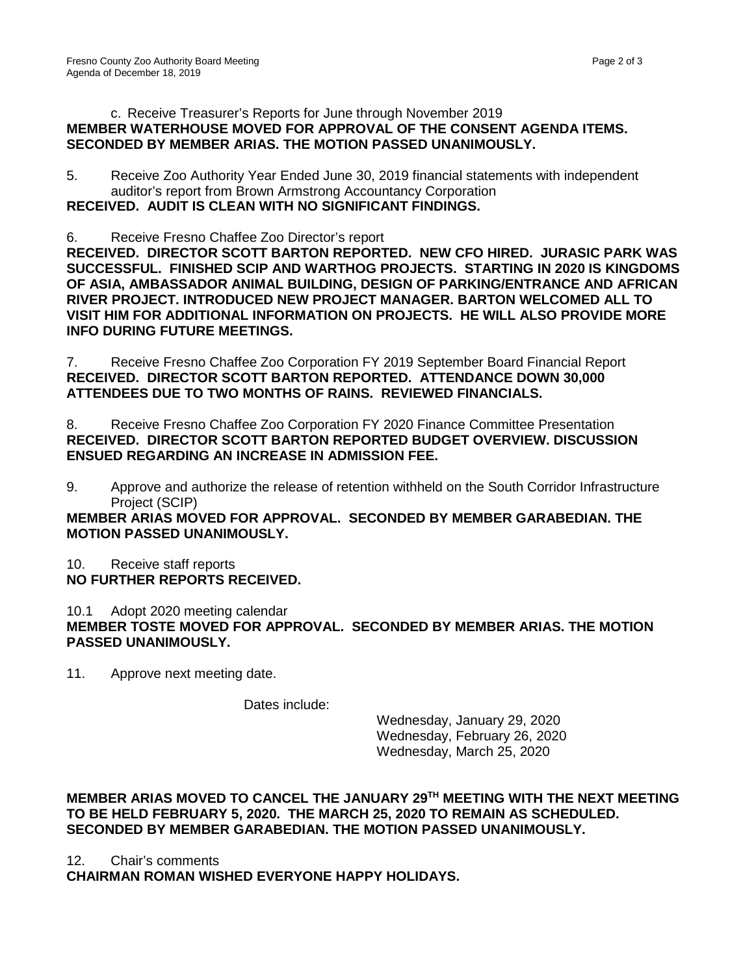#### c. Receive Treasurer's Reports for June through November 2019 **MEMBER WATERHOUSE MOVED FOR APPROVAL OF THE CONSENT AGENDA ITEMS. SECONDED BY MEMBER ARIAS. THE MOTION PASSED UNANIMOUSLY.**

5. Receive Zoo Authority Year Ended June 30, 2019 financial statements with independent auditor's report from Brown Armstrong Accountancy Corporation **RECEIVED. AUDIT IS CLEAN WITH NO SIGNIFICANT FINDINGS.**

6. Receive Fresno Chaffee Zoo Director's report

**RECEIVED. DIRECTOR SCOTT BARTON REPORTED. NEW CFO HIRED. JURASIC PARK WAS SUCCESSFUL. FINISHED SCIP AND WARTHOG PROJECTS. STARTING IN 2020 IS KINGDOMS OF ASIA, AMBASSADOR ANIMAL BUILDING, DESIGN OF PARKING/ENTRANCE AND AFRICAN RIVER PROJECT. INTRODUCED NEW PROJECT MANAGER. BARTON WELCOMED ALL TO VISIT HIM FOR ADDITIONAL INFORMATION ON PROJECTS. HE WILL ALSO PROVIDE MORE INFO DURING FUTURE MEETINGS.**

7. Receive Fresno Chaffee Zoo Corporation FY 2019 September Board Financial Report **RECEIVED. DIRECTOR SCOTT BARTON REPORTED. ATTENDANCE DOWN 30,000 ATTENDEES DUE TO TWO MONTHS OF RAINS. REVIEWED FINANCIALS.** 

8. Receive Fresno Chaffee Zoo Corporation FY 2020 Finance Committee Presentation **RECEIVED. DIRECTOR SCOTT BARTON REPORTED BUDGET OVERVIEW. DISCUSSION ENSUED REGARDING AN INCREASE IN ADMISSION FEE.** 

9. Approve and authorize the release of retention withheld on the South Corridor Infrastructure Project (SCIP)

**MEMBER ARIAS MOVED FOR APPROVAL. SECONDED BY MEMBER GARABEDIAN. THE MOTION PASSED UNANIMOUSLY.**

10. Receive staff reports **NO FURTHER REPORTS RECEIVED.**

10.1 Adopt 2020 meeting calendar **MEMBER TOSTE MOVED FOR APPROVAL. SECONDED BY MEMBER ARIAS. THE MOTION PASSED UNANIMOUSLY.**

11. Approve next meeting date.

Dates include:

Wednesday, January 29, 2020 Wednesday, February 26, 2020 Wednesday, March 25, 2020

**MEMBER ARIAS MOVED TO CANCEL THE JANUARY 29TH MEETING WITH THE NEXT MEETING TO BE HELD FEBRUARY 5, 2020. THE MARCH 25, 2020 TO REMAIN AS SCHEDULED. SECONDED BY MEMBER GARABEDIAN. THE MOTION PASSED UNANIMOUSLY.** 

12. Chair's comments

**CHAIRMAN ROMAN WISHED EVERYONE HAPPY HOLIDAYS.**